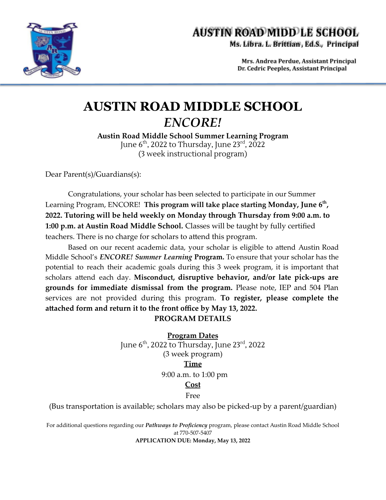

# **AUSTIN ROAD MIDD LE SCHOOL**

Ms. Libra. L. Brittian, Ed.S., Principal

Mrs. Andrea Perdue, Assistant Principal Dr. Cedric Peeples, Assistant Principal

### **AUSTIN ROAD MIDDLE SCHOOL** *ENCORE!*

**Austin Road Middle School Summer Learning Program** June 6<sup>th</sup>, 2022 to Thursday, June 23<sup>rd</sup>, 2022 (3 week instructional program)

Dear Parent(s)/Guardians(s):

Congratulations, your scholar has been selected to participate in our Summer Learning Program, ENCORE! **This program will take place starting Monday, June 6th , 2022. Tutoring will be held weekly on Monday through Thursday from 9:00 a.m. to 1:00 p.m. at Austin Road Middle School.** Classes will be taught by fully certified teachers. There is no charge for scholars to attend this program.

Based on our recent academic data, your scholar is eligible to attend Austin Road Middle School's *ENCORE! Summer Learning* **Program.** To ensure that your scholar has the potential to reach their academic goals during this 3 week program, it is important that scholars attend each day. **Misconduct, disruptive behavior, and/or late pick-ups are grounds for immediate dismissal from the program.** Please note, IEP and 504 Plan services are not provided during this program. **To register, please complete the attached form and return it to the front office by May 13, 2022. PROGRAM DETAILS**

> **Program Dates** June 6<sup>th</sup>, 2022 to Thursday, June 23<sup>rd</sup>, 2022 (3 week program) **Time** 9:00 a.m. to 1:00 pm

#### **Cost**

Free

(Bus transportation is available; scholars may also be picked-up by a parent/guardian)

For additional questions regarding our *Pathways to Proficiency* program, please contact Austin Road Middle School at 770-507-5407

**APPLICATION DUE: Monday, May 13, 2022**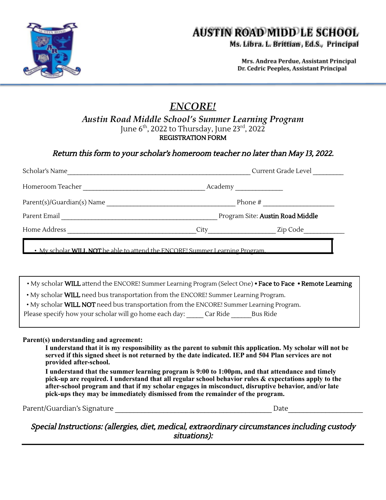

## **AUSTIN ROAD MIDD LE SCHOOL**

Ms. Libra. L. Brittian, Ed.S., Principal

Mrs. Andrea Perdue, Assistant Principal Dr. Cedric Peeples, Assistant Principal

### *ENCORE!*

#### *Austin Road Middle School's Summer Learning Program* June 6<sup>th</sup>, 2022 to Thursday, June 23<sup>rd</sup>, 2022 REGISTRATION FORM

Return this form to your scholar's homeroom teacher no later than May 13, 2022.

| • My scholar <b>WILL NOT</b> be able to attend the ENCORE! Summer Learning Program<br>. My scholar WILL attend the ENCORE! Summer Learning Program (Select One) . Face to Face . Remote Learning<br>. My scholar WILL need bus transportation from the ENCORE! Summer Learning Program.<br>. My scholar WILL NOT need bus transportation from the ENCORE! Summer Learning Program.<br>Please specify how your scholar will go home each day: ______ Car Ride _______ Bus Ride                                                                                                                                                                                                              |  |  |  |  |  |
|--------------------------------------------------------------------------------------------------------------------------------------------------------------------------------------------------------------------------------------------------------------------------------------------------------------------------------------------------------------------------------------------------------------------------------------------------------------------------------------------------------------------------------------------------------------------------------------------------------------------------------------------------------------------------------------------|--|--|--|--|--|
| Parent(s) understanding and agreement:<br>I understand that it is my responsibility as the parent to submit this application. My scholar will not be<br>served if this signed sheet is not returned by the date indicated. IEP and 504 Plan services are not<br>provided after-school.<br>I understand that the summer learning program is 9:00 to 1:00pm, and that attendance and timely<br>pick-up are required. I understand that all regular school behavior rules & expectations apply to the<br>after-school program and that if my scholar engages in misconduct, disruptive behavior, and/or late<br>pick-ups they may be immediately dismissed from the remainder of the program. |  |  |  |  |  |
|                                                                                                                                                                                                                                                                                                                                                                                                                                                                                                                                                                                                                                                                                            |  |  |  |  |  |

Special Instructions: (allergies, diet, medical, extraordinary circumstances including custody situations):